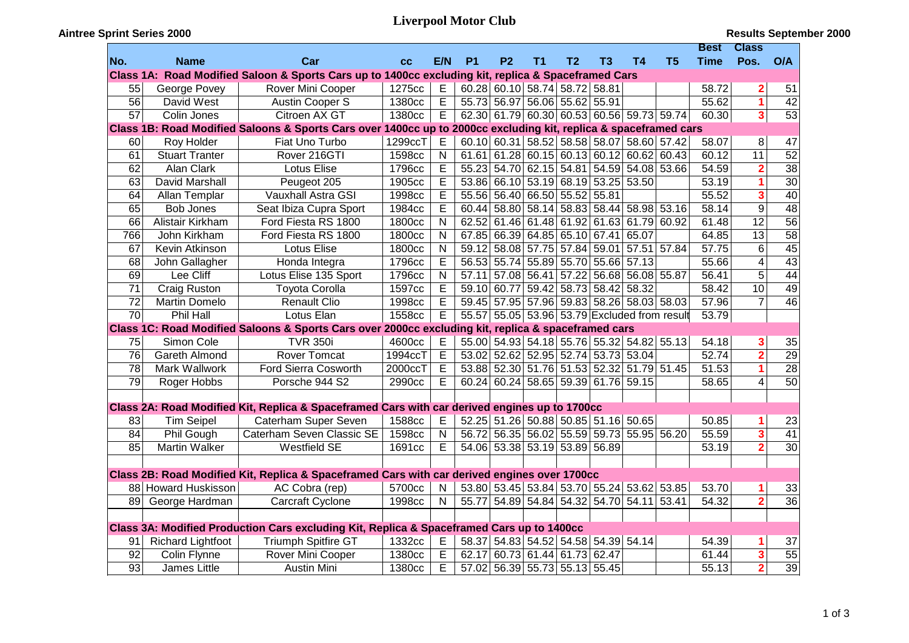## **Liverpool Motor Club**

## **Aintree Sprint Series 2000**

|                 |                          |                                                                                                                  |                    |                |           |           |    |                               |                                     |                                             |                                              | <b>Best</b> | <b>Class</b>            |                 |
|-----------------|--------------------------|------------------------------------------------------------------------------------------------------------------|--------------------|----------------|-----------|-----------|----|-------------------------------|-------------------------------------|---------------------------------------------|----------------------------------------------|-------------|-------------------------|-----------------|
| No.             | <b>Name</b>              | Car                                                                                                              | cc                 | E/N            | <b>P1</b> | <b>P2</b> | T1 | T <sub>2</sub>                | T3                                  | <b>T4</b>                                   | T <sub>5</sub>                               | <b>Time</b> | Pos.                    | O/A             |
|                 |                          | Class 1A: Road Modified Saloon & Sports Cars up to 1400cc excluding kit, replica & Spaceframed Cars              |                    |                |           |           |    |                               |                                     |                                             |                                              |             |                         |                 |
| 55              | George Povey             | Rover Mini Cooper                                                                                                | 1275cc             | E              |           |           |    | 60.28 60.10 58.74 58.72 58.81 |                                     |                                             |                                              | 58.72       | $\overline{\mathbf{2}}$ | 51              |
| $\overline{56}$ | David West               | Austin Cooper S                                                                                                  | 1380 <sub>cc</sub> | E              |           |           |    | 55.73 56.97 56.06 55.62 55.91 |                                     |                                             |                                              | 55.62       | 1                       | $\overline{42}$ |
| 57              | Colin Jones              | Citroen AX GT                                                                                                    | 1380cc             | E              |           |           |    |                               |                                     | 62.30 61.79 60.30 60.53 60.56 59.73 59.74   |                                              | 60.30       | $\overline{\mathbf{3}}$ | $\overline{53}$ |
|                 |                          | Class 1B: Road Modified Saloons & Sports Cars over 1400cc up to 2000cc excluding kit, replica & spaceframed cars |                    |                |           |           |    |                               |                                     |                                             |                                              |             |                         |                 |
| 60              | Roy Holder               | Fiat Uno Turbo                                                                                                   | 1299ccT            | $\mathsf E$    |           |           |    |                               |                                     | 60.10 60.31 58.52 58.58 58.07 58.60 57.42   |                                              | 58.07       | 8                       | 47              |
| 61              | Stuart Tranter           | Rover 216GTI                                                                                                     | 1598cc             | $\mathsf{N}$   |           |           |    |                               |                                     | $61.61$ 61.28 60.15 60.13 60.12 60.62 60.43 |                                              | 60.12       | $\overline{11}$         | $\overline{52}$ |
| 62              | Alan Clark               | <b>Lotus Elise</b>                                                                                               | 1796cc             | E              |           |           |    |                               |                                     | 55.23 54.70 62.15 54.81 54.59 54.08 53.66   |                                              | 54.59       | $\overline{2}$          | $\overline{38}$ |
| 63              | David Marshall           | Peugeot 205                                                                                                      | 1905cc             | E              |           |           |    |                               | 53.86 66.10 53.19 68.19 53.25 53.50 |                                             |                                              | 53.19       | $\mathbf{1}$            | $\overline{30}$ |
| 64              | Allan Templar            | Vauxhall Astra GSI                                                                                               | 1998cc             | E              |           |           |    | 55.56 56.40 66.50 55.52 55.81 |                                     |                                             |                                              | 55.52       | 3                       | $\overline{40}$ |
| 65              | <b>Bob Jones</b>         | Seat Ibiza Cupra Sport                                                                                           | 1984cc             | $\overline{E}$ |           |           |    |                               |                                     | 60.44 58.80 58.14 58.83 58.44 58.98 53.16   |                                              | 58.14       | $\overline{9}$          | $\overline{48}$ |
| 66              | Alistair Kirkham         | Ford Fiesta RS 1800                                                                                              | 1800cc             | N              |           |           |    |                               |                                     | 62.52 61.46 61.48 61.92 61.63 61.79 60.92   |                                              | 61.48       | $\overline{12}$         | $\overline{56}$ |
| 766             | John Kirkham             | Ford Fiesta RS 1800                                                                                              | 1800cc             | $\mathsf{N}$   |           |           |    |                               | 67.85 66.39 64.85 65.10 67.41 65.07 |                                             |                                              | 64.85       | $\overline{13}$         | $\overline{58}$ |
| 67              | Kevin Atkinson           | Lotus Elise                                                                                                      | 1800cc             | $\mathsf{N}$   |           |           |    |                               | 59.12 58.08 57.75 57.84 59.01 57.51 |                                             | 57.84                                        | 57.75       | $\overline{6}$          | 45              |
| 68              | John Gallagher           | Honda Integra                                                                                                    | 1796cc             | $\mathsf E$    |           |           |    |                               | 56.53 55.74 55.89 55.70 55.66 57.13 |                                             |                                              | 55.66       | $\overline{4}$          | 43              |
| 69              | Lee Cliff                | Lotus Elise 135 Sport                                                                                            | 1796cc             | $\mathsf{N}$   |           |           |    |                               |                                     | 57.11 57.08 56.41 57.22 56.68 56.08 55.87   |                                              | 56.41       | $\overline{5}$          | 44              |
| 71              | <b>Craig Ruston</b>      | <b>Toyota Corolla</b>                                                                                            | 1597cc             | E              |           |           |    |                               | 59.10 60.77 59.42 58.73 58.42 58.32 |                                             |                                              | 58.42       | 10                      | 49              |
| 72              | <b>Martin Domelo</b>     | <b>Renault Clio</b>                                                                                              | 1998cc             | E              |           |           |    |                               |                                     | 59.45 57.95 57.96 59.83 58.26 58.03 58.03   |                                              | 57.96       | $\overline{7}$          | $\overline{46}$ |
| 70              | Phil Hall                | Lotus Elan                                                                                                       | 1558cc             | E              |           |           |    |                               |                                     |                                             | 55.57 55.05 53.96 53.79 Excluded from result | 53.79       |                         |                 |
|                 |                          | Class 1C: Road Modified Saloons & Sports Cars over 2000cc excluding kit, replica & spaceframed cars              |                    |                |           |           |    |                               |                                     |                                             |                                              |             |                         |                 |
| 75              | Simon Cole               | <b>TVR 350i</b>                                                                                                  | 4600cc             | Е              |           |           |    |                               |                                     | 55.00 54.93 54.18 55.76 55.32 54.82 55.13   |                                              | 54.18       | 3                       | 35              |
| 76              | Gareth Almond            | <b>Rover Tomcat</b>                                                                                              | 1994ccT            | E              |           |           |    |                               | 53.02 52.62 52.95 52.74 53.73 53.04 |                                             |                                              | 52.74       | $\overline{\mathbf{2}}$ | 29              |
| 78              | Mark Wallwork            | Ford Sierra Cosworth                                                                                             | 2000ccT            | $\mathsf E$    |           |           |    |                               |                                     | 53.88 52.30 51.76 51.53 52.32 51.79 51.45   |                                              | 51.53       | $\overline{1}$          | $\overline{28}$ |
| 79              | Roger Hobbs              | Porsche 944 S2                                                                                                   | 2990cc             | Е              |           |           |    |                               | 60.24 60.24 58.65 59.39 61.76 59.15 |                                             |                                              | 58.65       | $\overline{4}$          | $\overline{50}$ |
|                 |                          |                                                                                                                  |                    |                |           |           |    |                               |                                     |                                             |                                              |             |                         |                 |
|                 |                          | Class 2A: Road Modified Kit, Replica & Spaceframed Cars with car derived engines up to 1700cc                    |                    |                |           |           |    |                               |                                     |                                             |                                              |             |                         |                 |
| 83              | <b>Tim Seipel</b>        | Caterham Super Seven                                                                                             | 1588cc             | Е              |           |           |    |                               | 52.25 51.26 50.88 50.85 51.16 50.65 |                                             |                                              | 50.85       | 1                       | 23              |
| 84              | Phil Gough               | Caterham Seven Classic SE                                                                                        | 1598cc             | $\mathsf{N}$   |           |           |    |                               |                                     | 56.72 56.35 56.02 55.59 59.73 55.95 56.20   |                                              | 55.59       | $\overline{\mathbf{3}}$ | 41              |
| 85              | Martin Walker            | <b>Westfield SE</b>                                                                                              | 1691cc             | E              |           |           |    | 54.06 53.38 53.19 53.89 56.89 |                                     |                                             |                                              | 53.19       | $\overline{\mathbf{2}}$ | 30              |
|                 |                          |                                                                                                                  |                    |                |           |           |    |                               |                                     |                                             |                                              |             |                         |                 |
|                 |                          | Class 2B: Road Modified Kit, Replica & Spaceframed Cars with car derived engines over 1700cc                     |                    |                |           |           |    |                               |                                     |                                             |                                              |             |                         |                 |
|                 | 88 Howard Huskisson      | AC Cobra (rep)                                                                                                   | 5700cc             | $\mathsf{N}$   |           |           |    |                               |                                     | 53.80 53.45 53.84 53.70 55.24 53.62 53.85   |                                              | 53.70       | 1                       | 33              |
|                 | 89 George Hardman        | <b>Carcraft Cyclone</b>                                                                                          | 1998cc             | $\mathsf{N}$   |           |           |    |                               | 55.77 54.89 54.84 54.32 54.70 54.11 |                                             | 53.41                                        | 54.32       | $\overline{\mathbf{2}}$ | 36              |
|                 |                          |                                                                                                                  |                    |                |           |           |    |                               |                                     |                                             |                                              |             |                         |                 |
|                 |                          | Class 3A: Modified Production Cars excluding Kit, Replica & Spaceframed Cars up to 1400cc                        |                    |                |           |           |    |                               |                                     |                                             |                                              |             |                         |                 |
| 91              | <b>Richard Lightfoot</b> | Triumph Spitfire GT                                                                                              | 1332cc             | Е              |           |           |    |                               | 58.37 54.83 54.52 54.58 54.39 54.14 |                                             |                                              | 54.39       | 1                       | 37              |
| $\overline{92}$ | Colin Flynne             | Rover Mini Cooper                                                                                                | 1380cc             | E              | 62.17     |           |    | 60.73 61.44 61.73 62.47       |                                     |                                             |                                              | 61.44       | 3                       | 55              |
| $\overline{93}$ | James Little             | <b>Austin Mini</b>                                                                                               | 1380cc             | E              |           |           |    | 57.02 56.39 55.73 55.13 55.45 |                                     |                                             |                                              | 55.13       | $\overline{\mathbf{2}}$ | 39              |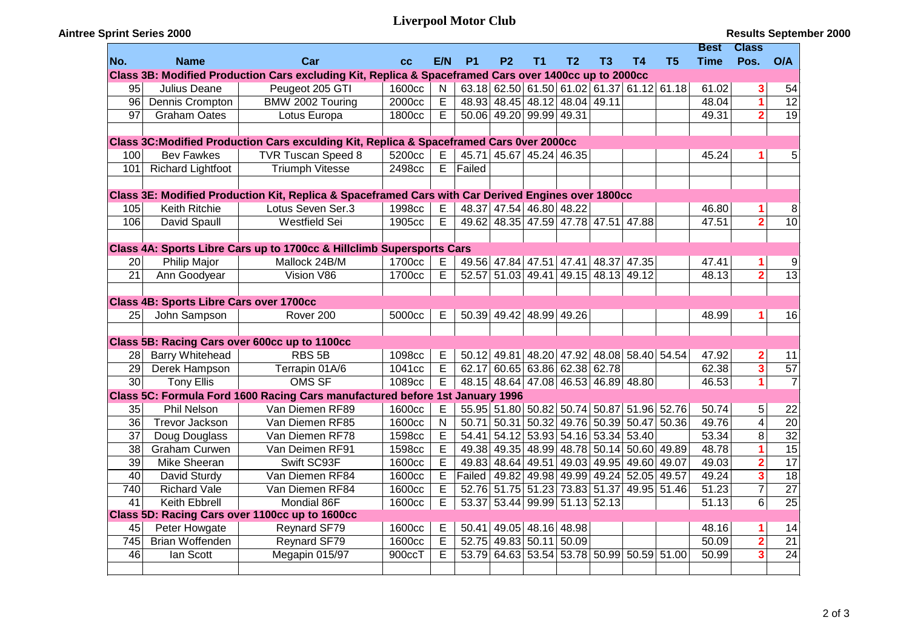## **Liverpool Motor Club**

**Aintree Sprint Series 2000**

|                                                                                                       |                                         |                                                                                                    |        |                         |                                                        |                               |                |                |                                           |       |                | Best               | <b>Class</b>            |                 |
|-------------------------------------------------------------------------------------------------------|-----------------------------------------|----------------------------------------------------------------------------------------------------|--------|-------------------------|--------------------------------------------------------|-------------------------------|----------------|----------------|-------------------------------------------|-------|----------------|--------------------|-------------------------|-----------------|
| No.                                                                                                   | <b>Name</b>                             | Car                                                                                                | cc     | E/N                     | <b>P1</b>                                              | <b>P2</b>                     | T <sub>1</sub> | T <sub>2</sub> | T3                                        | Τ4    | T <sub>5</sub> | <b>Time</b>        | Pos.                    | O/A             |
| Class 3B: Modified Production Cars excluding Kit, Replica & Spaceframed Cars over 1400cc up to 2000cc |                                         |                                                                                                    |        |                         |                                                        |                               |                |                |                                           |       |                |                    |                         |                 |
| 95                                                                                                    | Julius Deane                            | Peugeot 205 GTI                                                                                    | 1600cc | $\mathsf{N}$            |                                                        |                               |                |                | $63.18$ 62.50 61.50 61.02 61.37 61.12     |       | 61.18          | 61.02              | 3                       | 54              |
| 96                                                                                                    | Dennis Crompton                         | BMW 2002 Touring                                                                                   | 2000cc | E                       |                                                        | 48.93 48.45 48.12 48.04 49.11 |                |                |                                           |       |                | 48.04              | $\overline{1}$          | $\overline{12}$ |
| 97                                                                                                    | <b>Graham Oates</b>                     | Lotus Europa                                                                                       | 1800cc | E                       |                                                        | 50.06 49.20 99.99 49.31       |                |                |                                           |       |                | 49.31              | $\overline{\mathbf{2}}$ | $\overline{19}$ |
|                                                                                                       |                                         |                                                                                                    |        |                         |                                                        |                               |                |                |                                           |       |                |                    |                         |                 |
|                                                                                                       |                                         | Class 3C: Modified Production Cars exculding Kit, Replica & Spaceframed Cars 0ver 2000cc           |        |                         |                                                        |                               |                |                |                                           |       |                |                    |                         |                 |
| 100                                                                                                   | <b>Bev Fawkes</b>                       | TVR Tuscan Speed 8                                                                                 | 5200cc | E                       |                                                        | 45.71 45.67 45.24 46.35       |                |                |                                           |       |                | 45.24              | 1                       | 5               |
| 101                                                                                                   | <b>Richard Lightfoot</b>                | <b>Triumph Vitesse</b>                                                                             | 2498cc | E                       | Failed                                                 |                               |                |                |                                           |       |                |                    |                         |                 |
|                                                                                                       |                                         |                                                                                                    |        |                         |                                                        |                               |                |                |                                           |       |                |                    |                         |                 |
|                                                                                                       |                                         | Class 3E: Modified Production Kit, Replica & Spaceframed Cars with Car Derived Engines over 1800cc |        |                         |                                                        |                               |                |                |                                           |       |                |                    |                         |                 |
| 105                                                                                                   | Keith Ritchie                           | Lotus Seven Ser.3                                                                                  | 1998cc | E                       |                                                        | 48.37 47.54 46.80 48.22       |                |                |                                           |       |                | 46.80              | 1                       | 8               |
| 106                                                                                                   | David Spaull                            | <b>Westfield Sei</b>                                                                               | 1905cc | Е                       |                                                        |                               |                |                | 49.62 48.35 47.59 47.78 47.51 47.88       |       |                | 47.51              | $\overline{2}$          | 10              |
|                                                                                                       |                                         |                                                                                                    |        |                         |                                                        |                               |                |                |                                           |       |                |                    |                         |                 |
|                                                                                                       |                                         | Class 4A: Sports Libre Cars up to 1700cc & Hillclimb Supersports Cars                              |        |                         |                                                        |                               |                |                |                                           |       |                |                    |                         |                 |
| 20                                                                                                    | Philip Major                            | Mallock 24B/M                                                                                      | 1700cc | E                       |                                                        |                               |                |                | 49.56 47.84 47.51 47.41 48.37             | 47.35 |                | 47.41              | 1                       | 9               |
| $\overline{21}$                                                                                       | Ann Goodyear                            | Vision V86                                                                                         | 1700cc | E                       |                                                        | 52.57 51.03 49.41             |                |                | 49.15 48.13 49.12                         |       |                | 48.13              | $\overline{2}$          | $\overline{13}$ |
|                                                                                                       |                                         |                                                                                                    |        |                         |                                                        |                               |                |                |                                           |       |                |                    |                         |                 |
|                                                                                                       | Class 4B: Sports Libre Cars over 1700cc |                                                                                                    |        |                         |                                                        |                               |                |                |                                           |       |                |                    |                         |                 |
| 25                                                                                                    | John Sampson                            | Rover 200                                                                                          | 5000cc | E                       |                                                        | 50.39 49.42 48.99 49.26       |                |                |                                           |       |                | 48.99              | 1                       | 16              |
|                                                                                                       |                                         |                                                                                                    |        |                         |                                                        |                               |                |                |                                           |       |                |                    |                         |                 |
|                                                                                                       |                                         | Class 5B: Racing Cars over 600cc up to 1100cc                                                      |        |                         |                                                        |                               |                |                |                                           |       |                |                    |                         |                 |
| 28                                                                                                    | <b>Barry Whitehead</b>                  | RBS <sub>5B</sub>                                                                                  | 1098cc | E                       |                                                        |                               |                |                | 50.12 49.81 48.20 47.92 48.08 58.40 54.54 |       |                | 47.92              | $\overline{\mathbf{c}}$ | 11              |
| 29                                                                                                    | Derek Hampson                           | Terrapin 01A/6                                                                                     | 1041cc | $\overline{E}$          |                                                        | 62.17 60.65 63.86 62.38 62.78 |                |                |                                           |       |                | 62.38              | $\overline{\mathbf{3}}$ | $\overline{57}$ |
| 30                                                                                                    | <b>Tony Ellis</b>                       | <b>OMS SF</b>                                                                                      | 1089cc | E                       |                                                        |                               |                |                | 48.15 48.64 47.08 46.53 46.89 48.80       |       |                | 46.53              | $\overline{1}$          | $\overline{7}$  |
|                                                                                                       |                                         | Class 5C: Formula Ford 1600 Racing Cars manufactured before 1st January 1996                       |        |                         |                                                        |                               |                |                |                                           |       |                |                    |                         |                 |
| 35                                                                                                    | Phil Nelson                             | Van Diemen RF89                                                                                    | 1600cc | E                       |                                                        |                               |                |                | 55.95 51.80 50.82 50.74 50.87 51.96 52.76 |       |                | 50.74              | 5                       | 22              |
| 36                                                                                                    | Trevor Jackson                          | Van Diemen RF85                                                                                    | 1600cc | $\overline{N}$          | 50.71                                                  |                               |                |                | 50.31 50.32 49.76 50.39 50.47             |       | 50.36          | 49.76              | $\overline{\mathbf{4}}$ | $\overline{20}$ |
| 37                                                                                                    | Doug Douglass                           | Van Diemen RF78                                                                                    | 1598cc | $\overline{\mathsf{E}}$ |                                                        |                               |                |                | 54.41 54.12 53.93 54.16 53.34 53.40       |       |                | 53.34              | $\overline{8}$          | $\overline{32}$ |
| 38                                                                                                    | Graham Curwen                           | Van Deimen RF91                                                                                    | 1598cc | $\overline{E}$          |                                                        |                               |                |                | 49.38 49.35 48.99 48.78 50.14 50.60       |       | 49.89          | 48.78              | $\overline{\mathbf{1}}$ | 15              |
| $\overline{39}$                                                                                       | <b>Mike Sheeran</b>                     | Swift SC93F                                                                                        | 1600cc | $\overline{\mathsf{E}}$ |                                                        |                               |                |                | 49.83 48.64 49.51 49.03 49.95 49.60 49.07 |       |                | 49.03              | $\overline{\mathbf{2}}$ | $\overline{17}$ |
| 40                                                                                                    | David Sturdy                            | Van Diemen RF84                                                                                    | 1600cc | $\overline{\mathsf{E}}$ | Failed   49.82   49.98   49.99   49.24   52.05   49.57 |                               |                |                |                                           |       |                | 49.24              | $\overline{\mathbf{3}}$ | 18              |
| 740                                                                                                   | <b>Richard Vale</b>                     | Van Diemen RF84                                                                                    | 1600cc | $\overline{\mathsf{E}}$ |                                                        |                               |                |                | 52.76 51.75 51.23 73.83 51.37 49.95 51.46 |       |                | $\overline{51.23}$ | $\overline{7}$          | $\overline{27}$ |
| 41                                                                                                    | <b>Keith Ebbrell</b>                    | Mondial 86F                                                                                        | 1600cc | E                       |                                                        | 53.37 53.44 99.99 51.13 52.13 |                |                |                                           |       |                | $\overline{51.13}$ | $\overline{6}$          | $\overline{25}$ |
|                                                                                                       |                                         | Class 5D: Racing Cars over 1100cc up to 1600cc                                                     |        |                         |                                                        |                               |                |                |                                           |       |                |                    |                         |                 |
| 45                                                                                                    | Peter Howgate                           | Reynard SF79                                                                                       | 1600cc | Е                       |                                                        | 50.41 49.05 48.16 48.98       |                |                |                                           |       |                | 48.16              | 1                       | 14              |
| 745                                                                                                   | <b>Brian Woffenden</b>                  | Reynard SF79                                                                                       | 1600cc | E                       |                                                        | 52.75 49.83 50.11             |                | 50.09          |                                           |       |                | 50.09              | $\overline{\mathbf{2}}$ | $\overline{21}$ |
| 46                                                                                                    | lan Scott                               | Megapin 015/97                                                                                     | 900ccT | Ē                       | 53.79                                                  |                               | 64.63 53.54    |                | 53.78 50.99 50.59 51.00                   |       |                | 50.99              | 3                       | 24              |
|                                                                                                       |                                         |                                                                                                    |        |                         |                                                        |                               |                |                |                                           |       |                |                    |                         |                 |